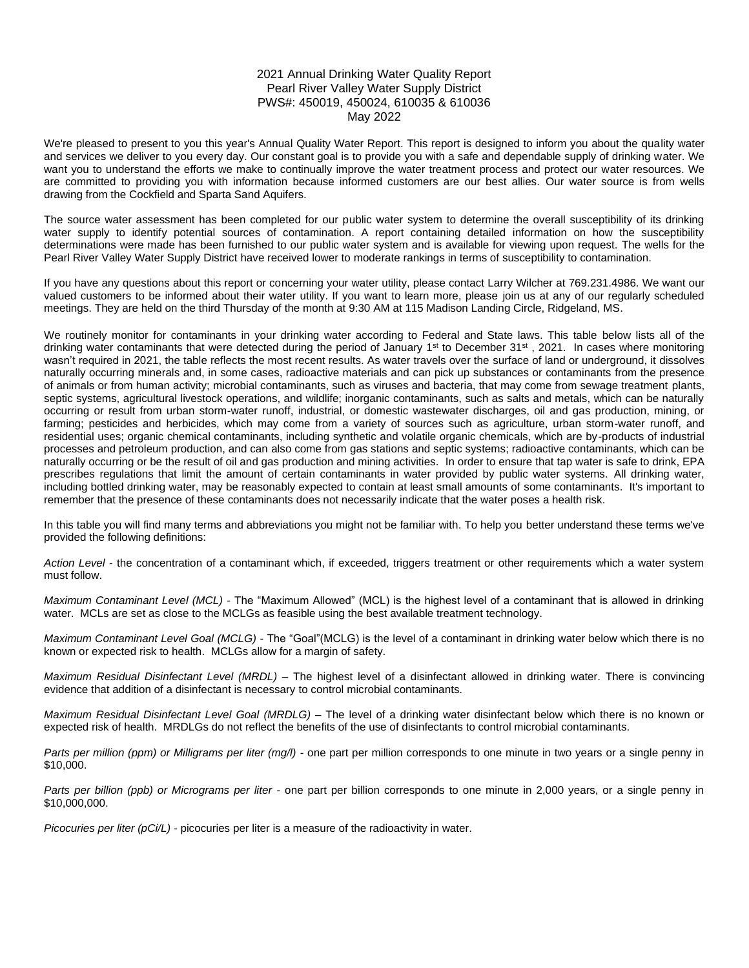## 2021 Annual Drinking Water Quality Report Pearl River Valley Water Supply District PWS#: 450019, 450024, 610035 & 610036 May 2022

We're pleased to present to you this year's Annual Quality Water Report. This report is designed to inform you about the quality water and services we deliver to you every day. Our constant goal is to provide you with a safe and dependable supply of drinking water. We want you to understand the efforts we make to continually improve the water treatment process and protect our water resources. We are committed to providing you with information because informed customers are our best allies. Our water source is from wells drawing from the Cockfield and Sparta Sand Aquifers.

The source water assessment has been completed for our public water system to determine the overall susceptibility of its drinking water supply to identify potential sources of contamination. A report containing detailed information on how the susceptibility determinations were made has been furnished to our public water system and is available for viewing upon request. The wells for the Pearl River Valley Water Supply District have received lower to moderate rankings in terms of susceptibility to contamination.

If you have any questions about this report or concerning your water utility, please contact Larry Wilcher at 769.231.4986. We want our valued customers to be informed about their water utility. If you want to learn more, please join us at any of our regularly scheduled meetings. They are held on the third Thursday of the month at 9:30 AM at 115 Madison Landing Circle, Ridgeland, MS.

We routinely monitor for contaminants in your drinking water according to Federal and State laws. This table below lists all of the drinking water contaminants that were detected during the period of January  $1<sup>st</sup>$  to December  $31<sup>st</sup>$ , 2021. In cases where monitoring wasn't required in 2021, the table reflects the most recent results. As water travels over the surface of land or underground, it dissolves naturally occurring minerals and, in some cases, radioactive materials and can pick up substances or contaminants from the presence of animals or from human activity; microbial contaminants, such as viruses and bacteria, that may come from sewage treatment plants, septic systems, agricultural livestock operations, and wildlife; inorganic contaminants, such as salts and metals, which can be naturally occurring or result from urban storm-water runoff, industrial, or domestic wastewater discharges, oil and gas production, mining, or farming; pesticides and herbicides, which may come from a variety of sources such as agriculture, urban storm-water runoff, and residential uses; organic chemical contaminants, including synthetic and volatile organic chemicals, which are by-products of industrial processes and petroleum production, and can also come from gas stations and septic systems; radioactive contaminants, which can be naturally occurring or be the result of oil and gas production and mining activities. In order to ensure that tap water is safe to drink, EPA prescribes regulations that limit the amount of certain contaminants in water provided by public water systems. All drinking water, including bottled drinking water, may be reasonably expected to contain at least small amounts of some contaminants. It's important to remember that the presence of these contaminants does not necessarily indicate that the water poses a health risk.

In this table you will find many terms and abbreviations you might not be familiar with. To help you better understand these terms we've provided the following definitions:

*Action Level* - the concentration of a contaminant which, if exceeded, triggers treatment or other requirements which a water system must follow.

*Maximum Contaminant Level (MCL)* - The "Maximum Allowed" (MCL) is the highest level of a contaminant that is allowed in drinking water. MCLs are set as close to the MCLGs as feasible using the best available treatment technology.

*Maximum Contaminant Level Goal (MCLG)* - The "Goal"(MCLG) is the level of a contaminant in drinking water below which there is no known or expected risk to health. MCLGs allow for a margin of safety.

*Maximum Residual Disinfectant Level (MRDL)* – The highest level of a disinfectant allowed in drinking water. There is convincing evidence that addition of a disinfectant is necessary to control microbial contaminants.

*Maximum Residual Disinfectant Level Goal (MRDLG)* – The level of a drinking water disinfectant below which there is no known or expected risk of health. MRDLGs do not reflect the benefits of the use of disinfectants to control microbial contaminants.

*Parts per million (ppm) or Milligrams per liter (mg/l)* - one part per million corresponds to one minute in two years or a single penny in \$10,000.

*Parts per billion (ppb) or Micrograms per liter* - one part per billion corresponds to one minute in 2,000 years, or a single penny in \$10,000,000.

*Picocuries per liter (pCi/L)* - picocuries per liter is a measure of the radioactivity in water.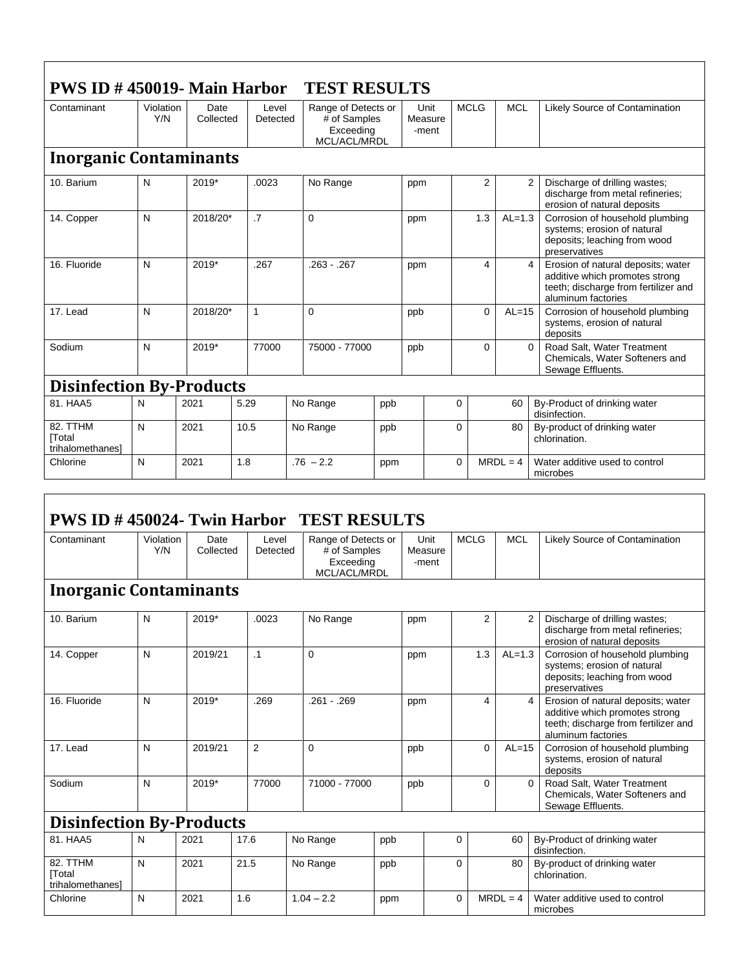| $PWS ID # 450019 - Main Harbor$<br><b>TEST RESULTS</b> |                  |                   |                   |                                                                  |     |                          |                |            |                                                                                                                                         |  |  |
|--------------------------------------------------------|------------------|-------------------|-------------------|------------------------------------------------------------------|-----|--------------------------|----------------|------------|-----------------------------------------------------------------------------------------------------------------------------------------|--|--|
| Contaminant                                            | Violation<br>Y/N | Date<br>Collected | Level<br>Detected | Range of Detects or<br># of Samples<br>Exceeding<br>MCL/ACL/MRDL |     | Unit<br>Measure<br>-ment | <b>MCLG</b>    | <b>MCL</b> | Likely Source of Contamination                                                                                                          |  |  |
| <b>Inorganic Contaminants</b>                          |                  |                   |                   |                                                                  |     |                          |                |            |                                                                                                                                         |  |  |
| 10. Barium                                             | N                | $2019*$           | .0023             | No Range                                                         |     | ppm                      | $\overline{2}$ |            | $\overline{2}$<br>Discharge of drilling wastes;<br>discharge from metal refineries;<br>erosion of natural deposits                      |  |  |
| 14. Copper                                             | N                | 2018/20*          | $\cdot$ 7         | $\Omega$                                                         |     | ppm                      | 1.3            | $AL=1.3$   | Corrosion of household plumbing<br>systems; erosion of natural<br>deposits; leaching from wood<br>preservatives                         |  |  |
| 16. Fluoride                                           | N                | 2019*             | .267              | $.263 - .267$                                                    |     | ppm                      | 4              |            | Erosion of natural deposits; water<br>4<br>additive which promotes strong<br>teeth; discharge from fertilizer and<br>aluminum factories |  |  |
| 17. Lead                                               | N                | 2018/20*          | 1                 | $\Omega$                                                         |     | ppb                      | $\Omega$       | $AL=15$    | Corrosion of household plumbing<br>systems, erosion of natural<br>deposits                                                              |  |  |
| Sodium                                                 | N                | 2019*             | 77000             | 75000 - 77000                                                    |     | ppb                      | $\Omega$       |            | Road Salt, Water Treatment<br>$\Omega$<br>Chemicals, Water Softeners and<br>Sewage Effluents.                                           |  |  |
| <b>Disinfection By-Products</b>                        |                  |                   |                   |                                                                  |     |                          |                |            |                                                                                                                                         |  |  |
| 81. HAA5                                               | N                | 2021              | 5.29              | No Range                                                         | ppb |                          | $\Omega$       | 60         | By-Product of drinking water<br>disinfection.                                                                                           |  |  |
| 82. TTHM<br>[Total<br>trihalomethanesl                 | N                | 2021              | 10.5              | No Range                                                         | ppb |                          | $\Omega$       | 80         | By-product of drinking water<br>chlorination.                                                                                           |  |  |
| Chlorine                                               | N                | 2021              | 1.8               | $.76 - 2.2$                                                      | ppm |                          | $\Omega$       | $MRDL = 4$ | Water additive used to control<br>microbes                                                                                              |  |  |

| <b>PWS ID #450024- Twin Harbor TEST RESULTS</b> |                  |                   |                   |                                                                  |               |                          |             |                |                                                                                                                                                      |  |  |
|-------------------------------------------------|------------------|-------------------|-------------------|------------------------------------------------------------------|---------------|--------------------------|-------------|----------------|------------------------------------------------------------------------------------------------------------------------------------------------------|--|--|
| Contaminant                                     | Violation<br>Y/N | Date<br>Collected | Level<br>Detected | Range of Detects or<br># of Samples<br>Exceeding<br>MCL/ACL/MRDL |               | Unit<br>Measure<br>-ment | <b>MCLG</b> | <b>MCL</b>     | Likely Source of Contamination                                                                                                                       |  |  |
| <b>Inorganic Contaminants</b>                   |                  |                   |                   |                                                                  |               |                          |             |                |                                                                                                                                                      |  |  |
| 10. Barium                                      | N                | 2019*             | .0023             | No Range                                                         |               | ppm                      |             | $\overline{2}$ | $\overline{2}$<br>Discharge of drilling wastes;<br>discharge from metal refineries;<br>erosion of natural deposits                                   |  |  |
| 14. Copper                                      | N                | 2019/21           | .1                | $\Omega$                                                         |               | ppm                      | 1.3         | $AL=1.3$       | Corrosion of household plumbing<br>systems; erosion of natural<br>deposits; leaching from wood<br>preservatives                                      |  |  |
| 16. Fluoride                                    | N                | 2019*             | .269              | $.261 - .269$                                                    |               | ppm                      |             | 4              | $\overline{4}$<br>Erosion of natural deposits; water<br>additive which promotes strong<br>teeth; discharge from fertilizer and<br>aluminum factories |  |  |
| 17. Lead                                        | N                | 2019/21           | 2                 | $\Omega$                                                         |               | ppb                      |             | 0<br>$AL=15$   | Corrosion of household plumbing<br>systems, erosion of natural<br>deposits                                                                           |  |  |
| Sodium                                          | N                | 2019*             | 77000             |                                                                  | 71000 - 77000 |                          |             | $\Omega$       | Road Salt. Water Treatment<br>$\mathbf{0}$<br>Chemicals, Water Softeners and<br>Sewage Effluents.                                                    |  |  |
| <b>Disinfection By-Products</b>                 |                  |                   |                   |                                                                  |               |                          |             |                |                                                                                                                                                      |  |  |
| 81. HAA5                                        | N                | 2021              | 17.6              | No Range                                                         | ppb           |                          | $\Omega$    | 60             | By-Product of drinking water<br>disinfection.                                                                                                        |  |  |
| 82. TTHM<br><b>Total</b><br>trihalomethanesl    | N                | 2021              | 21.5              | No Range                                                         | ppb           |                          | 0           | 80             | By-product of drinking water<br>chlorination.                                                                                                        |  |  |
| Chlorine                                        | N                | 2021              | 1.6               | $1.04 - 2.2$                                                     | ppm           |                          | $\Omega$    | $MRDL = 4$     | Water additive used to control<br>microbes                                                                                                           |  |  |

٦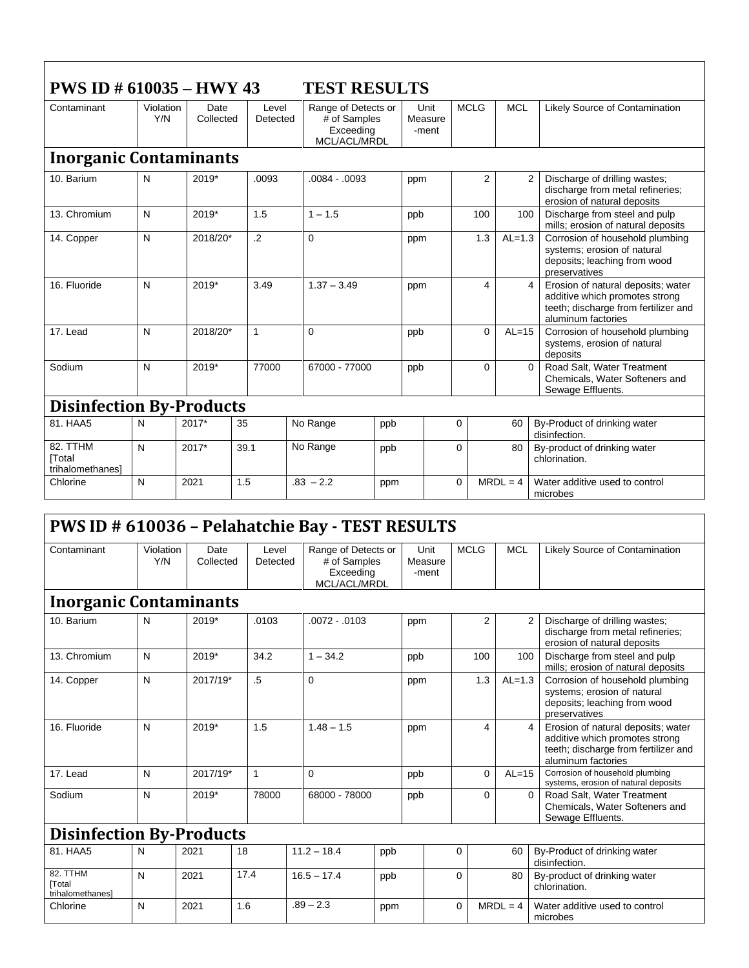| <b>PWS ID # 610035 - HWY 43</b><br><b>TEST RESULTS</b> |                  |                   |                   |                                                                  |     |                          |             |            |                                                                                                                                                      |  |
|--------------------------------------------------------|------------------|-------------------|-------------------|------------------------------------------------------------------|-----|--------------------------|-------------|------------|------------------------------------------------------------------------------------------------------------------------------------------------------|--|
| Contaminant                                            | Violation<br>Y/N | Date<br>Collected | Level<br>Detected | Range of Detects or<br># of Samples<br>Exceeding<br>MCL/ACL/MRDL |     | Unit<br>Measure<br>-ment | <b>MCLG</b> | <b>MCL</b> | Likely Source of Contamination                                                                                                                       |  |
| <b>Inorganic Contaminants</b>                          |                  |                   |                   |                                                                  |     |                          |             |            |                                                                                                                                                      |  |
| 10. Barium                                             | N                | $2019*$           | .0093             | $.0084 - .0093$                                                  |     | ppm                      | 2           |            | $\overline{2}$<br>Discharge of drilling wastes;<br>discharge from metal refineries;<br>erosion of natural deposits                                   |  |
| 13. Chromium                                           | N                | 2019*             | 1.5               | $1 - 1.5$                                                        |     | ppb                      | 100         | 100        | Discharge from steel and pulp<br>mills; erosion of natural deposits                                                                                  |  |
| 14. Copper                                             | N                | 2018/20*          | $\overline{2}$    | $\Omega$                                                         |     | ppm                      | 1.3         | $AL=1.3$   | Corrosion of household plumbing<br>systems; erosion of natural<br>deposits; leaching from wood<br>preservatives                                      |  |
| 16. Fluoride                                           | N                | 2019*             | 3.49              | $1.37 - 3.49$                                                    |     | ppm                      | 4           |            | Erosion of natural deposits; water<br>$\overline{4}$<br>additive which promotes strong<br>teeth; discharge from fertilizer and<br>aluminum factories |  |
| 17. Lead                                               | N                | 2018/20*          | $\mathbf{1}$      | $\Omega$                                                         |     | ppb                      | $\Omega$    | $AL=15$    | Corrosion of household plumbing<br>systems, erosion of natural<br>deposits                                                                           |  |
| Sodium                                                 | N                | 2019*             | 77000             | 67000 - 77000                                                    |     | ppb                      | $\Omega$    |            | Road Salt, Water Treatment<br>$\Omega$<br>Chemicals, Water Softeners and<br>Sewage Effluents.                                                        |  |
| <b>Disinfection By-Products</b>                        |                  |                   |                   |                                                                  |     |                          |             |            |                                                                                                                                                      |  |
| 81. HAA5                                               | N                | 2017*             | 35                | No Range                                                         | ppb |                          | $\Omega$    | 60         | By-Product of drinking water<br>disinfection.                                                                                                        |  |
| 82. TTHM<br><b>Total</b><br>trihalomethanes]           | N                | 2017*             | 39.1              | No Range                                                         | ppb |                          | $\Omega$    | 80         | By-product of drinking water<br>chlorination.                                                                                                        |  |
| Chlorine                                               | N                | 2021              | 1.5               | $.83 - 2.2$                                                      | ppm |                          | $\Omega$    | $MRDL = 4$ | Water additive used to control<br>microbes                                                                                                           |  |

## **PWS ID # 610036 – Pelahatchie Bay - TEST RESULTS**

| Contaminant                                  | Violation<br>Y/N | Date<br>Collected | Level<br>Detected | Range of Detects or<br># of Samples<br>Exceeding<br>MCL/ACL/MRDL |     | Unit<br>Measure<br>-ment | <b>MCLG</b>    | <b>MCL</b> | Likely Source of Contamination                                                                                                                       |  |
|----------------------------------------------|------------------|-------------------|-------------------|------------------------------------------------------------------|-----|--------------------------|----------------|------------|------------------------------------------------------------------------------------------------------------------------------------------------------|--|
| <b>Inorganic Contaminants</b>                |                  |                   |                   |                                                                  |     |                          |                |            |                                                                                                                                                      |  |
| 10. Barium                                   | N                | $2019*$           | .0103             | $.0072 - .0103$                                                  |     | ppm                      | $\overline{2}$ |            | $\overline{2}$<br>Discharge of drilling wastes;<br>discharge from metal refineries;<br>erosion of natural deposits                                   |  |
| 13. Chromium                                 | $\mathsf{N}$     | 2019*             | 34.2              | $1 - 34.2$                                                       |     | ppb                      | 100            | 100        | Discharge from steel and pulp<br>mills; erosion of natural deposits                                                                                  |  |
| 14. Copper                                   | N                | 2017/19*          | .5                | 0                                                                |     | ppm                      | 1.3            | $AL=1.3$   | Corrosion of household plumbing<br>systems; erosion of natural<br>deposits; leaching from wood<br>preservatives                                      |  |
| 16. Fluoride                                 | N                | 2019*             | 1.5               | $1.48 - 1.5$                                                     |     | ppm                      | 4              |            | $\overline{4}$<br>Erosion of natural deposits; water<br>additive which promotes strong<br>teeth; discharge from fertilizer and<br>aluminum factories |  |
| 17. Lead                                     | N                | 2017/19*          | 1                 | $\Omega$                                                         |     | ppb                      | $\mathbf 0$    | $AL=15$    | Corrosion of household plumbing<br>systems, erosion of natural deposits                                                                              |  |
| Sodium                                       | N                | 2019*             | 78000             | 68000 - 78000                                                    |     | ppb                      | 0              |            | Road Salt, Water Treatment<br>$\Omega$<br>Chemicals, Water Softeners and<br>Sewage Effluents.                                                        |  |
| <b>Disinfection By-Products</b>              |                  |                   |                   |                                                                  |     |                          |                |            |                                                                                                                                                      |  |
| 81. HAA5                                     | N                | 2021              | 18                | $11.2 - 18.4$                                                    | ppb |                          | $\Omega$       | 60         | By-Product of drinking water<br>disinfection.                                                                                                        |  |
| 82. TTHM<br><b>Total</b><br>trihalomethanes] | N                | 2021              | 17.4              | $16.5 - 17.4$                                                    | ppb |                          | $\Omega$       | 80         | By-product of drinking water<br>chlorination.                                                                                                        |  |
| Chlorine                                     | N                | 2021              | 1.6               | $.89 - 2.3$                                                      | ppm |                          | $\Omega$       | $MRDL = 4$ | Water additive used to control<br>microbes                                                                                                           |  |